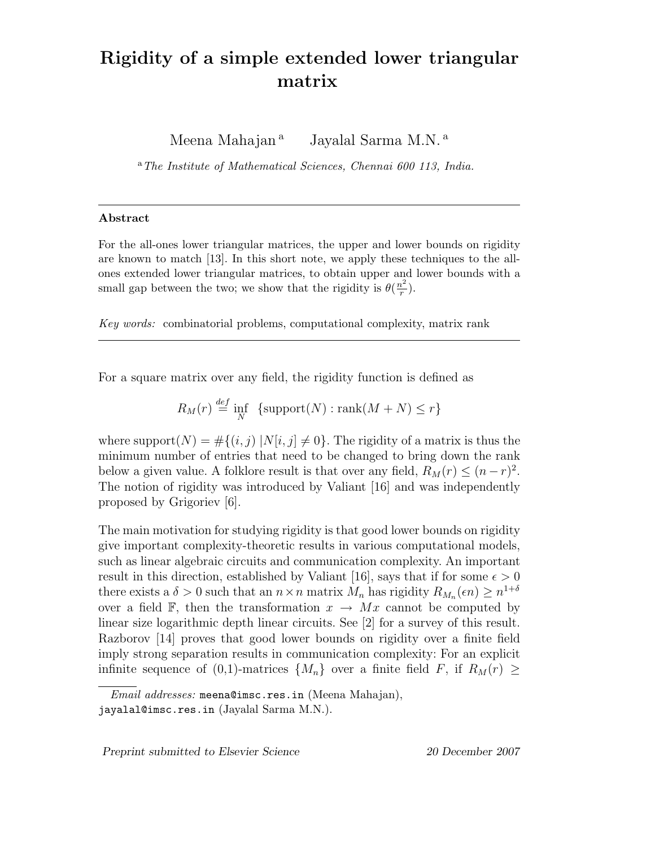## Rigidity of a simple extended lower triangular matrix

Meena Mahajan<sup>a</sup> Jayalal Sarma M.N.<sup>a</sup>

<sup>a</sup>*The Institute of Mathematical Sciences, Chennai 600 113, India.*

## Abstract

For the all-ones lower triangular matrices, the upper and lower bounds on rigidity are known to match [13]. In this short note, we apply these techniques to the allones extended lower triangular matrices, to obtain upper and lower bounds with a small gap between the two; we show that the rigidity is  $\theta(\frac{n^2}{r})$  $\frac{\imath^2}{r}).$ 

*Key words:* combinatorial problems, computational complexity, matrix rank

For a square matrix over any field, the rigidity function is defined as

$$
R_M(r) \stackrel{\text{def}}{=} \inf_N \ \left\{ \text{support}(N) : \text{rank}(M+N) \le r \right\}
$$

where support $(N) = \#\{(i, j) | N[i, j] \neq 0\}$ . The rigidity of a matrix is thus the minimum number of entries that need to be changed to bring down the rank below a given value. A folklore result is that over any field,  $R_M(r) \leq (n-r)^2$ . The notion of rigidity was introduced by Valiant [16] and was independently proposed by Grigoriev [6].

The main motivation for studying rigidity is that good lower bounds on rigidity give important complexity-theoretic results in various computational models, such as linear algebraic circuits and communication complexity. An important result in this direction, established by Valiant [16], says that if for some  $\epsilon > 0$ there exists a  $\delta > 0$  such that an  $n \times n$  matrix  $M_n$  has rigidity  $R_{M_n}(\epsilon n) \geq n^{1+\delta}$ over a field F, then the transformation  $x \to Mx$  cannot be computed by linear size logarithmic depth linear circuits. See [2] for a survey of this result. Razborov [14] proves that good lower bounds on rigidity over a finite field imply strong separation results in communication complexity: For an explicit infinite sequence of (0,1)-matrices  $\{M_n\}$  over a finite field F, if  $R_M(r) \geq$ 

Preprint submitted to Elsevier Science 20 December 2007

*Email addresses:* meena@imsc.res.in (Meena Mahajan), jayalal@imsc.res.in (Jayalal Sarma M.N.).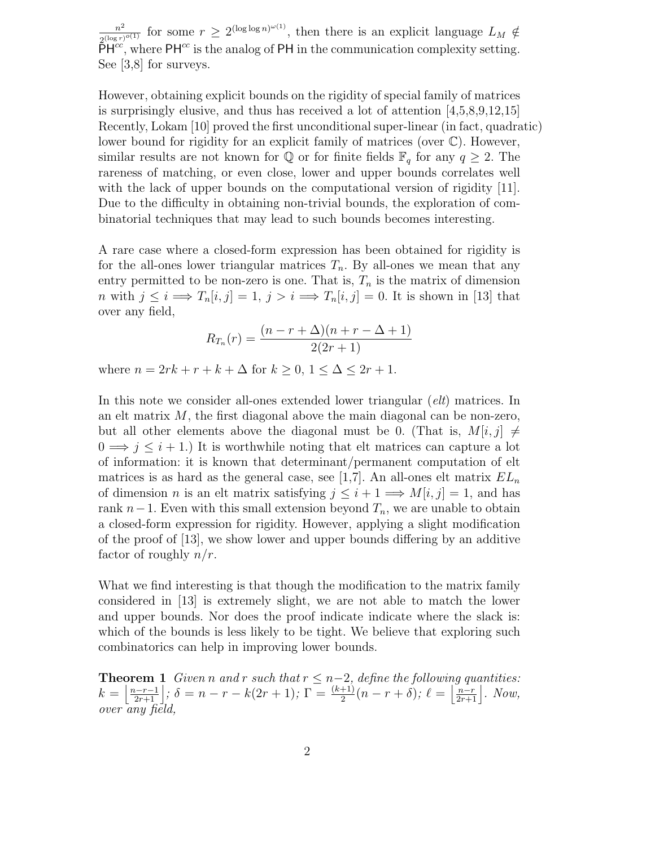$n^2$  $\frac{n^2}{2^{(\log r)^{o(1)}}}$  for some  $r \geq 2^{(\log \log n)^{o(1)}}$ , then there is an explicit language  $L_M \notin$  $\bar{\rho}H^{cc}$ , where PH<sup>cc</sup> is the analog of PH in the communication complexity setting. See [3,8] for surveys.

However, obtaining explicit bounds on the rigidity of special family of matrices is surprisingly elusive, and thus has received a lot of attention [4,5,8,9,12,15] Recently, Lokam [10] proved the first unconditional super-linear (in fact, quadratic) lower bound for rigidity for an explicit family of matrices (over C). However, similar results are not known for  $\mathbb Q$  or for finite fields  $\mathbb F_q$  for any  $q \geq 2$ . The rareness of matching, or even close, lower and upper bounds correlates well with the lack of upper bounds on the computational version of rigidity [11]. Due to the difficulty in obtaining non-trivial bounds, the exploration of combinatorial techniques that may lead to such bounds becomes interesting.

A rare case where a closed-form expression has been obtained for rigidity is for the all-ones lower triangular matrices  $T_n$ . By all-ones we mean that any entry permitted to be non-zero is one. That is,  $T_n$  is the matrix of dimension n with  $j \leq i \implies T_n[i, j] = 1, j > i \implies T_n[i, j] = 0$ . It is shown in [13] that over any field,

$$
R_{T_n}(r) = \frac{(n - r + \Delta)(n + r - \Delta + 1)}{2(2r + 1)}
$$

where  $n = 2rk + r + k + \Delta$  for  $k \geq 0, 1 \leq \Delta \leq 2r + 1$ .

In this note we consider all-ones extended lower triangular (*elt*) matrices. In an elt matrix  $M$ , the first diagonal above the main diagonal can be non-zero, but all other elements above the diagonal must be 0. (That is,  $M[i, j] \neq$  $0 \Longrightarrow j \leq i+1$ .) It is worthwhile noting that elt matrices can capture a lot of information: it is known that determinant/permanent computation of elt matrices is as hard as the general case, see [1,7]. An all-ones elt matrix  $EL_n$ of dimension *n* is an elt matrix satisfying  $j \leq i+1 \Longrightarrow M[i, j] = 1$ , and has rank  $n-1$ . Even with this small extension beyond  $T_n$ , we are unable to obtain a closed-form expression for rigidity. However, applying a slight modification of the proof of [13], we show lower and upper bounds differing by an additive factor of roughly  $n/r$ .

What we find interesting is that though the modification to the matrix family considered in [13] is extremely slight, we are not able to match the lower and upper bounds. Nor does the proof indicate indicate where the slack is: which of the bounds is less likely to be tight. We believe that exploring such combinatorics can help in improving lower bounds.

**Theorem 1** *Given n* and *r such that*  $r \leq n-2$ *, define the following quantities:*  $k = \left[\frac{n-r-1}{2r+1}\right]$ ;  $\delta = n-r-k(2r+1)$ ;  $\Gamma = \frac{(k+1)}{2}(n-r+\delta)$ ;  $\ell = \left[\frac{n-r}{2r+1}\right]$ . Now, *over any field,*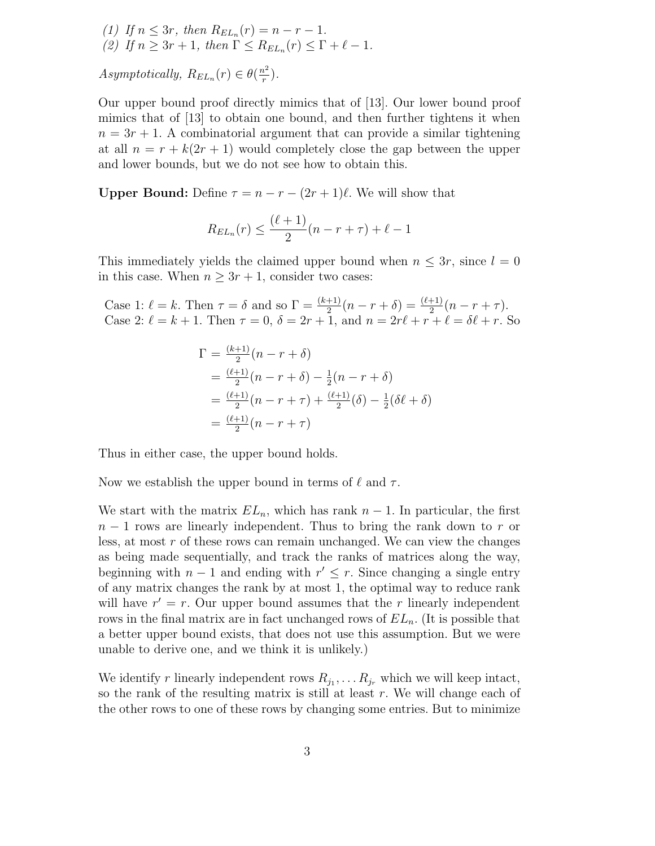(1) If  $n \leq 3r$ , then  $R_{EL_n}(r) = n - r - 1$ . (2) If  $n \geq 3r + 1$ , then  $\Gamma \leq R_{EL_n}(r) \leq \Gamma + \ell - 1$ .

*Asymptotically,*  $R_{EL_n}(r) \in \theta(\frac{n^2}{r})$  $\frac{\imath^2}{r}$ .

Our upper bound proof directly mimics that of [13]. Our lower bound proof mimics that of [13] to obtain one bound, and then further tightens it when  $n = 3r + 1$ . A combinatorial argument that can provide a similar tightening at all  $n = r + k(2r + 1)$  would completely close the gap between the upper and lower bounds, but we do not see how to obtain this.

**Upper Bound:** Define  $\tau = n - r - (2r + 1)\ell$ . We will show that

$$
R_{EL_n}(r) \le \frac{(\ell+1)}{2}(n-r+\tau) + \ell - 1
$$

This immediately yields the claimed upper bound when  $n \leq 3r$ , since  $l = 0$ in this case. When  $n \geq 3r + 1$ , consider two cases:

Case 1:  $\ell = k$ . Then  $\tau = \delta$  and so  $\Gamma = \frac{(k+1)}{2}(n-r+\delta) = \frac{(\ell+1)}{2}(n-r+\tau)$ . Case 2:  $\ell = k + 1$ . Then  $\tau = 0$ ,  $\delta = 2r + 1$ , and  $n = 2r\ell + r + \ell = \delta\ell + r$ . So

$$
\Gamma = \frac{(k+1)}{2}(n-r+\delta)
$$
  
=  $\frac{(\ell+1)}{2}(n-r+\delta) - \frac{1}{2}(n-r+\delta)$   
=  $\frac{(\ell+1)}{2}(n-r+\tau) + \frac{(\ell+1)}{2}(\delta) - \frac{1}{2}(\delta\ell+\delta)$   
=  $\frac{(\ell+1)}{2}(n-r+\tau)$ 

Thus in either case, the upper bound holds.

Now we establish the upper bound in terms of  $\ell$  and  $\tau$ .

We start with the matrix  $EL_n$ , which has rank  $n-1$ . In particular, the first  $n-1$  rows are linearly independent. Thus to bring the rank down to r or less, at most  $r$  of these rows can remain unchanged. We can view the changes as being made sequentially, and track the ranks of matrices along the way, beginning with  $n-1$  and ending with  $r' \leq r$ . Since changing a single entry of any matrix changes the rank by at most 1, the optimal way to reduce rank will have  $r' = r$ . Our upper bound assumes that the r linearly independent rows in the final matrix are in fact unchanged rows of  $EL_n$ . (It is possible that a better upper bound exists, that does not use this assumption. But we were unable to derive one, and we think it is unlikely.)

We identify r linearly independent rows  $R_{j_1}, \ldots R_{j_r}$  which we will keep intact, so the rank of the resulting matrix is still at least  $r$ . We will change each of the other rows to one of these rows by changing some entries. But to minimize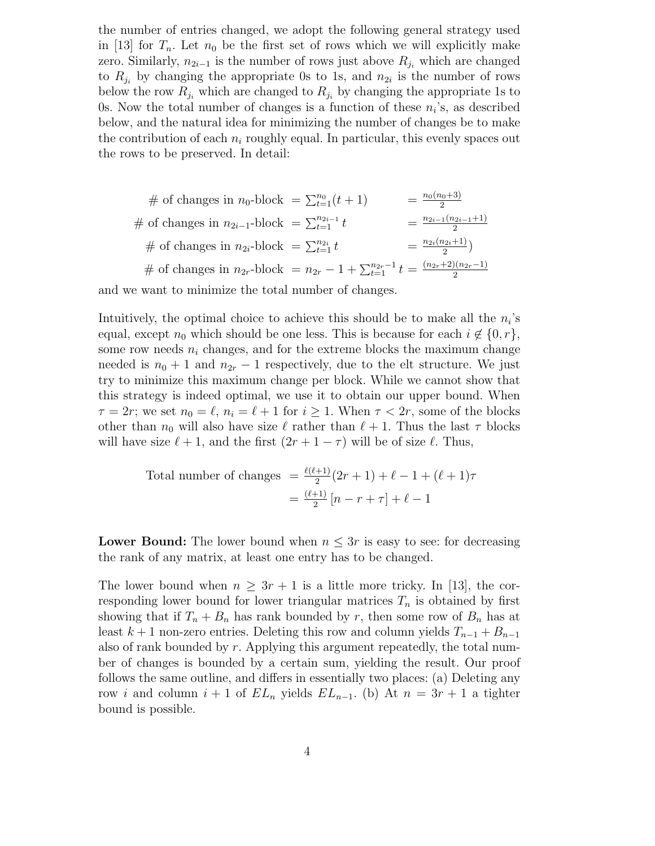the number of entries changed, we adopt the following general strategy used in [13] for  $T_n$ . Let  $n_0$  be the first set of rows which we will explicitly make zero. Similarly,  $n_{2i-1}$  is the number of rows just above  $R_{j_i}$  which are changed to  $R_{j_i}$  by changing the appropriate 0s to 1s, and  $n_{2i}$  is the number of rows below the row  $R_{j_i}$  which are changed to  $R_{j_i}$  by changing the appropriate 1s to 0s. Now the total number of changes is a function of these  $n_i$ 's, as described below, and the natural idea for minimizing the number of changes be to make the contribution of each  $n_i$  roughly equal. In particular, this evenly spaces out the rows to be preserved. In detail:

# of changes in 
$$
n_0
$$
-block =  $\sum_{t=1}^{n_0} (t+1)$  =  $\frac{n_0(n_0+3)}{2}$   
\n# of changes in  $n_{2i-1}$ -block =  $\sum_{t=1}^{n_{2i-1}} t$  =  $\frac{n_{2i-1}(n_{2i-1}+1)}{2}$   
\n# of changes in  $n_{2i}$ -block =  $\sum_{t=1}^{n_{2i}} t$  =  $\frac{n_{2i}(n_{2i}+1)}{2}$   
\n# of changes in  $n_{2r}$ -block =  $n_{2r} - 1 + \sum_{t=1}^{n_{2r}-1} t$  =  $\frac{(n_{2r}+2)(n_{2r}-1)}{2}$ 

and we want to minimize the total number of changes.

Intuitively, the optimal choice to achieve this should be to make all the  $n_i$ 's equal, except  $n_0$  which should be one less. This is because for each  $i \notin \{0, r\},\$ some row needs  $n_i$  changes, and for the extreme blocks the maximum change needed is  $n_0 + 1$  and  $n_{2r} - 1$  respectively, due to the elt structure. We just try to minimize this maximum change per block. While we cannot show that this strategy is indeed optimal, we use it to obtain our upper bound. When  $\tau = 2r$ ; we set  $n_0 = \ell$ ,  $n_i = \ell + 1$  for  $i \geq 1$ . When  $\tau < 2r$ , some of the blocks other than  $n_0$  will also have size  $\ell$  rather than  $\ell + 1$ . Thus the last  $\tau$  blocks will have size  $\ell + 1$ , and the first  $(2r + 1 - \tau)$  will be of size  $\ell$ . Thus,

Total number of changes 
$$
=
$$
  $\frac{\ell(\ell+1)}{2}(2r+1) + \ell - 1 + (\ell+1)\tau$   
 $= \frac{(\ell+1)}{2}[n-r+\tau] + \ell - 1$ 

**Lower Bound:** The lower bound when  $n \leq 3r$  is easy to see: for decreasing the rank of any matrix, at least one entry has to be changed.

The lower bound when  $n \geq 3r + 1$  is a little more tricky. In [13], the corresponding lower bound for lower triangular matrices  $T_n$  is obtained by first showing that if  $T_n + B_n$  has rank bounded by r, then some row of  $B_n$  has at least  $k + 1$  non-zero entries. Deleting this row and column yields  $T_{n-1} + B_{n-1}$ also of rank bounded by  $r$ . Applying this argument repeatedly, the total number of changes is bounded by a certain sum, yielding the result. Our proof follows the same outline, and differs in essentially two places: (a) Deleting any row i and column  $i + 1$  of  $EL_n$  yields  $EL_{n-1}$ . (b) At  $n = 3r + 1$  a tighter bound is possible.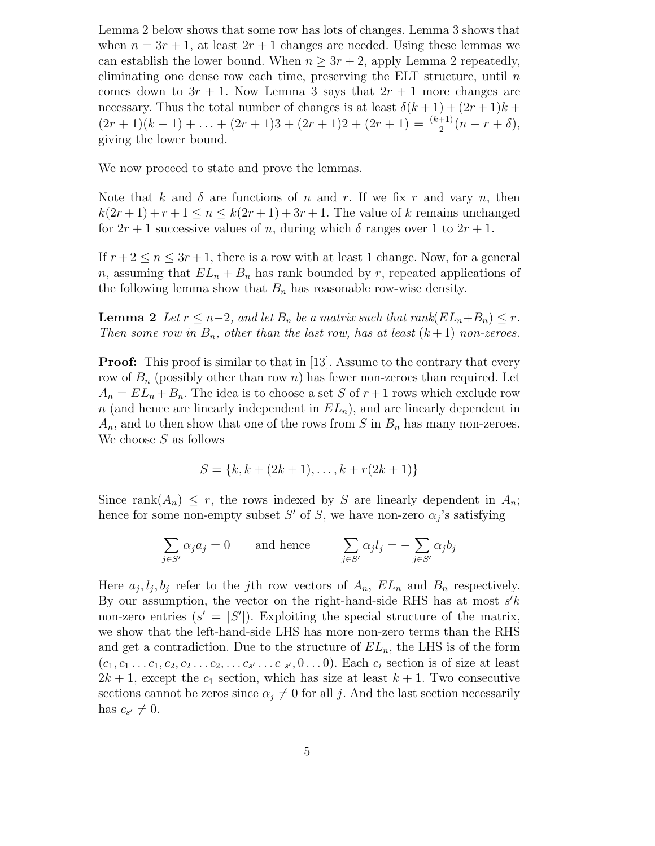Lemma 2 below shows that some row has lots of changes. Lemma 3 shows that when  $n = 3r + 1$ , at least  $2r + 1$  changes are needed. Using these lemmas we can establish the lower bound. When  $n \geq 3r + 2$ , apply Lemma 2 repeatedly, eliminating one dense row each time, preserving the ELT structure, until  $n$ comes down to  $3r + 1$ . Now Lemma 3 says that  $2r + 1$  more changes are necessary. Thus the total number of changes is at least  $\delta(k+1) + (2r+1)k +$  $(2r+1)(k-1) + ... + (2r+1)3 + (2r+1)2 + (2r+1) = \frac{(k+1)}{2}(n-r+\delta),$ giving the lower bound.

We now proceed to state and prove the lemmas.

Note that k and  $\delta$  are functions of n and r. If we fix r and vary n, then  $k(2r+1)+r+1 \leq n \leq k(2r+1)+3r+1$ . The value of k remains unchanged for  $2r + 1$  successive values of n, during which  $\delta$  ranges over 1 to  $2r + 1$ .

If  $r + 2 \leq n \leq 3r + 1$ , there is a row with at least 1 change. Now, for a general n, assuming that  $EL_n + B_n$  has rank bounded by r, repeated applications of the following lemma show that  $B_n$  has reasonable row-wise density.

**Lemma 2** Let  $r \leq n-2$ , and let  $B_n$  be a matrix such that rank $(EL_n+B_n) \leq r$ . *Then some row in*  $B_n$ , *other than the last row, has at least*  $(k+1)$  *non-zeroes.* 

**Proof:** This proof is similar to that in [13]. Assume to the contrary that every row of  $B_n$  (possibly other than row n) has fewer non-zeroes than required. Let  $A_n = EL_n + B_n$ . The idea is to choose a set S of  $r + 1$  rows which exclude row n (and hence are linearly independent in  $EL_n$ ), and are linearly dependent in  $A_n$ , and to then show that one of the rows from S in  $B_n$  has many non-zeroes. We choose  $S$  as follows

$$
S = \{k, k + (2k + 1), \dots, k + r(2k + 1)\}
$$

Since rank $(A_n) \leq r$ , the rows indexed by S are linearly dependent in  $A_n$ ; hence for some non-empty subset  $S'$  of S, we have non-zero  $\alpha_j$ 's satisfying

$$
\sum_{j \in S'} \alpha_j a_j = 0 \quad \text{and hence} \quad \sum_{j \in S'} \alpha_j l_j = -\sum_{j \in S'} \alpha_j b_j
$$

Here  $a_j, l_j, b_j$  refer to the jth row vectors of  $A_n$ ,  $EL_n$  and  $B_n$  respectively. By our assumption, the vector on the right-hand-side RHS has at most  $s'k$ non-zero entries  $(s' = |S'|)$ . Exploiting the special structure of the matrix, we show that the left-hand-side LHS has more non-zero terms than the RHS and get a contradiction. Due to the structure of  $EL_n$ , the LHS is of the form  $(c_1, c_1 \ldots c_1, c_2, c_2 \ldots c_2, \ldots c_{s'} \ldots c_{s'}, 0 \ldots 0)$ . Each  $c_i$  section is of size at least  $2k + 1$ , except the  $c_1$  section, which has size at least  $k + 1$ . Two consecutive sections cannot be zeros since  $\alpha_j \neq 0$  for all j. And the last section necessarily has  $c_{s'} \neq 0$ .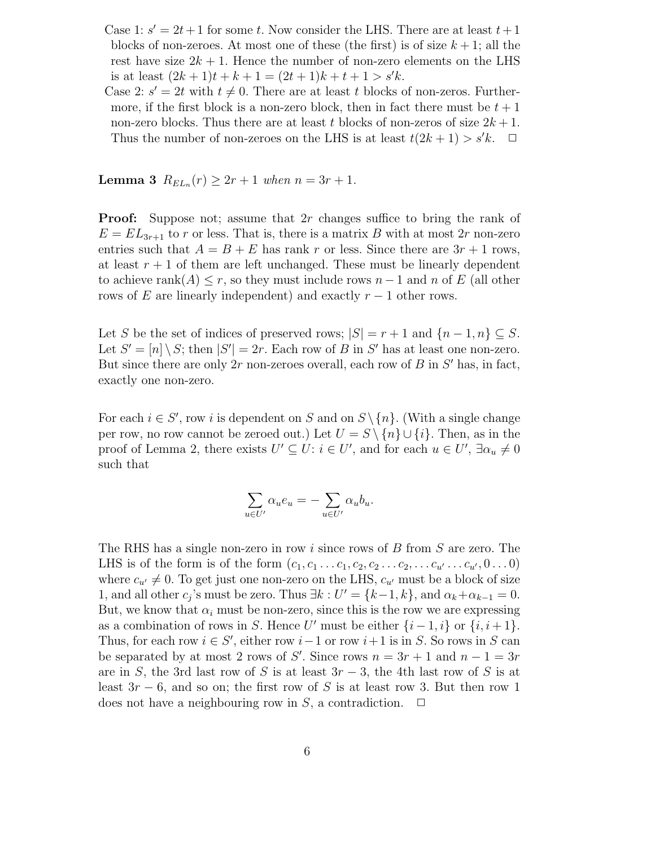- Case 1:  $s' = 2t + 1$  for some t. Now consider the LHS. There are at least  $t + 1$ blocks of non-zeroes. At most one of these (the first) is of size  $k + 1$ ; all the rest have size  $2k + 1$ . Hence the number of non-zero elements on the LHS is at least  $(2k+1)t + k + 1 = (2t+1)k + t + 1 > s'k$ .
- Case 2:  $s' = 2t$  with  $t \neq 0$ . There are at least t blocks of non-zeros. Furthermore, if the first block is a non-zero block, then in fact there must be  $t + 1$ non-zero blocks. Thus there are at least t blocks of non-zeros of size  $2k + 1$ . Thus the number of non-zeroes on the LHS is at least  $t(2k+1) > s'k$ .  $\Box$

**Lemma 3**  $R_{EL_n}(r) \ge 2r + 1$  when  $n = 3r + 1$ .

**Proof:** Suppose not; assume that 2r changes suffice to bring the rank of  $E = EL_{3r+1}$  to r or less. That is, there is a matrix B with at most 2r non-zero entries such that  $A = B + E$  has rank r or less. Since there are  $3r + 1$  rows, at least  $r + 1$  of them are left unchanged. These must be linearly dependent to achieve rank $(A) \leq r$ , so they must include rows  $n-1$  and n of E (all other rows of E are linearly independent) and exactly  $r-1$  other rows.

Let S be the set of indices of preserved rows;  $|S| = r + 1$  and  $\{n-1, n\} \subseteq S$ . Let  $S' = [n] \setminus S$ ; then  $|S'| = 2r$ . Each row of B in S' has at least one non-zero. But since there are only  $2r$  non-zeroes overall, each row of  $B$  in  $S'$  has, in fact, exactly one non-zero.

For each  $i \in S'$ , row i is dependent on S and on  $S \setminus \{n\}$ . (With a single change per row, no row cannot be zeroed out.) Let  $U = S \setminus \{n\} \cup \{i\}$ . Then, as in the proof of Lemma 2, there exists  $U' \subseteq U$ :  $i \in U'$ , and for each  $u \in U'$ ,  $\exists \alpha_u \neq 0$ such that

$$
\sum_{u \in U'} \alpha_u e_u = -\sum_{u \in U'} \alpha_u b_u.
$$

The RHS has a single non-zero in row i since rows of B from S are zero. The LHS is of the form is of the form  $(c_1, c_1, \ldots c_1, c_2, c_2, \ldots c_{2}, \ldots c_{u'}, 0 \ldots 0)$ where  $c_{u'} \neq 0$ . To get just one non-zero on the LHS,  $c_{u'}$  must be a block of size 1, and all other  $c_j$ 's must be zero. Thus  $\exists k : U' = \{k-1, k\}$ , and  $\alpha_k + \alpha_{k-1} = 0$ . But, we know that  $\alpha_i$  must be non-zero, since this is the row we are expressing as a combination of rows in S. Hence U' must be either  $\{i-1, i\}$  or  $\{i, i+1\}$ . Thus, for each row  $i \in S'$ , either row  $i-1$  or row  $i+1$  is in S. So rows in S can be separated by at most 2 rows of S'. Since rows  $n = 3r + 1$  and  $n - 1 = 3r$ are in S, the 3rd last row of S is at least  $3r-3$ , the 4th last row of S is at least  $3r - 6$ , and so on; the first row of S is at least row 3. But then row 1 does not have a neighbouring row in S, a contradiction.  $\Box$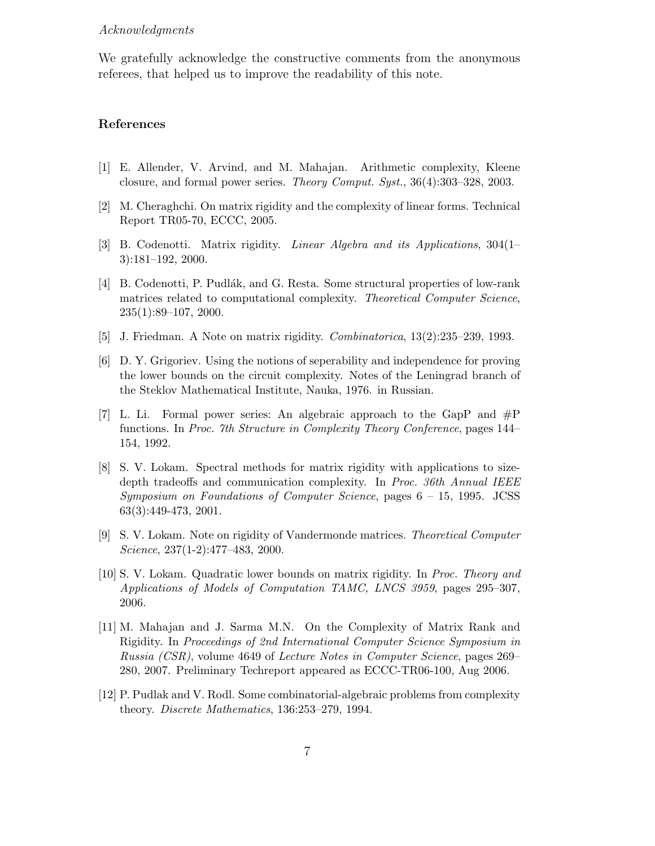## *Acknowledgments*

We gratefully acknowledge the constructive comments from the anonymous referees, that helped us to improve the readability of this note.

## References

- [1] E. Allender, V. Arvind, and M. Mahajan. Arithmetic complexity, Kleene closure, and formal power series. *Theory Comput. Syst.*, 36(4):303–328, 2003.
- [2] M. Cheraghchi. On matrix rigidity and the complexity of linear forms. Technical Report TR05-70, ECCC, 2005.
- [3] B. Codenotti. Matrix rigidity. *Linear Algebra and its Applications*, 304(1– 3):181–192, 2000.
- [4] B. Codenotti, P. Pudlák, and G. Resta. Some structural properties of low-rank matrices related to computational complexity. *Theoretical Computer Science*, 235(1):89–107, 2000.
- [5] J. Friedman. A Note on matrix rigidity. *Combinatorica*, 13(2):235–239, 1993.
- [6] D. Y. Grigoriev. Using the notions of seperability and independence for proving the lower bounds on the circuit complexity. Notes of the Leningrad branch of the Steklov Mathematical Institute, Nauka, 1976. in Russian.
- [7] L. Li. Formal power series: An algebraic approach to the GapP and #P functions. In *Proc. 7th Structure in Complexity Theory Conference*, pages 144– 154, 1992.
- [8] S. V. Lokam. Spectral methods for matrix rigidity with applications to sizedepth tradeoffs and communication complexity. In *Proc. 36th Annual IEEE Symposium on Foundations of Computer Science*, pages 6 – 15, 1995. JCSS 63(3):449-473, 2001.
- [9] S. V. Lokam. Note on rigidity of Vandermonde matrices. *Theoretical Computer Science*, 237(1-2):477–483, 2000.
- [10] S. V. Lokam. Quadratic lower bounds on matrix rigidity. In *Proc. Theory and Applications of Models of Computation TAMC, LNCS 3959*, pages 295–307, 2006.
- [11] M. Mahajan and J. Sarma M.N. On the Complexity of Matrix Rank and Rigidity. In *Proceedings of 2nd International Computer Science Symposium in Russia (CSR)*, volume 4649 of *Lecture Notes in Computer Science*, pages 269– 280, 2007. Preliminary Techreport appeared as ECCC-TR06-100, Aug 2006.
- [12] P. Pudlak and V. Rodl. Some combinatorial-algebraic problems from complexity theory. *Discrete Mathematics*, 136:253–279, 1994.